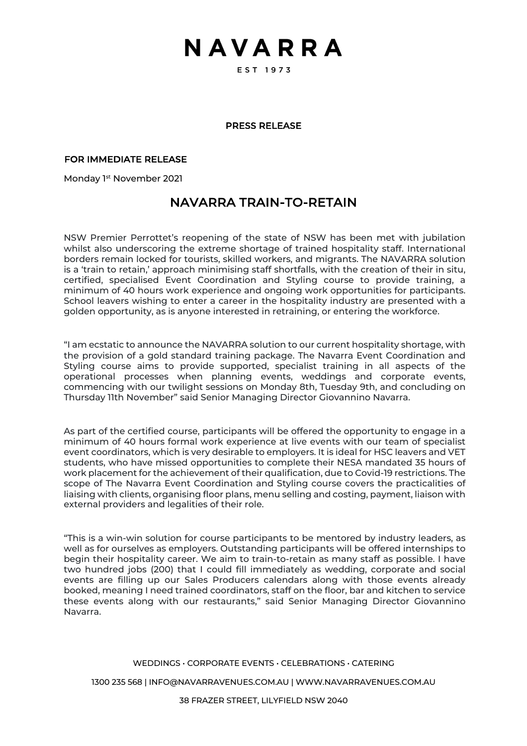## NAVARRA

EST 1973

## PRESS RELEASE

## FOR IMMEDIATE RELEASE

Monday 1<sup>st</sup> November 2021

## NAVARRA TRAIN-TO-RETAIN

NSW Premier Perrottet's reopening of the state of NSW has been met with jubilation whilst also underscoring the extreme shortage of trained hospitality staff. International borders remain locked for tourists, skilled workers, and migrants. The NAVARRA solution is a 'train to retain,' approach minimising staff shortfalls, with the creation of their in situ, certified, specialised Event Coordination and Styling course to provide training, a minimum of 40 hours work experience and ongoing work opportunities for participants. School leavers wishing to enter a career in the hospitality industry are presented with a golden opportunity, as is anyone interested in retraining, or entering the workforce.

"I am ecstatic to announce the NAVARRA solution to our current hospitality shortage, with the provision of a gold standard training package. The Navarra Event Coordination and Styling course aims to provide supported, specialist training in all aspects of the operational processes when planning events, weddings and corporate events, commencing with our twilight sessions on Monday 8th, Tuesday 9th, and concluding on Thursday 11th November" said Senior Managing Director Giovannino Navarra.

As part of the certified course, participants will be offered the opportunity to engage in a minimum of 40 hours formal work experience at live events with our team of specialist event coordinators, which is very desirable to employers. It is ideal for HSC leavers and VET students, who have missed opportunities to complete their NESA mandated 35 hours of work placement for the achievement of their qualification, due to Covid-19 restrictions. The scope of The Navarra Event Coordination and Styling course covers the practicalities of liaising with clients, organising floor plans, menu selling and costing, payment, liaison with external providers and legalities of their role.

"This is a win-win solution for course participants to be mentored by industry leaders, as well as for ourselves as employers. Outstanding participants will be offered internships to begin their hospitality career. We aim to train-to-retain as many staff as possible. I have two hundred jobs (200) that I could fill immediately as wedding, corporate and social events are filling up our Sales Producers calendars along with those events already booked, meaning I need trained coordinators, staff on the floor, bar and kitchen to service these events along with our restaurants," said Senior Managing Director Giovannino Navarra.

## WEDDINGS • CORPORATE EVENTS • CELEBRATIONS • CATERING

1300 235 568 | INFO@NAVARRAVENUES.COM.AU | WWW.NAVARRAVENUES.COM.AU

38 FRAZER STREET, LILYFIELD NSW 2040